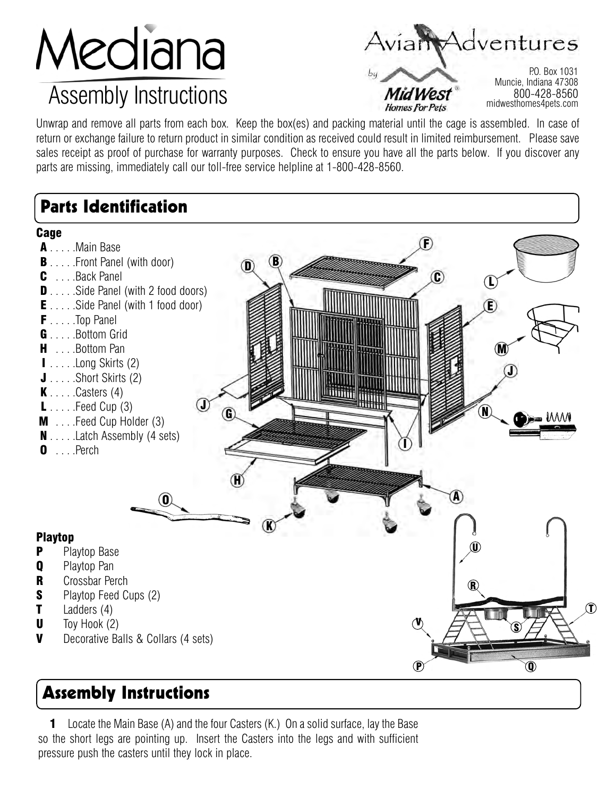# Mediana

## Assembly Instructions

iam Adventures

## **Homes For Pets**

P.O. Box 1031 Muncie, Indiana 47308 800-428-8560 midwesthomes4pets.com

Unwrap and remove all parts from each box. Keep the box(es) and packing material until the cage is assembled. In case of return or exchange failure to return product in similar condition as received could result in limited reimbursement. Please save sales receipt as proof of purchase for warranty purposes. Check to ensure you have all the parts below. If you discover any parts are missing, immediately call our toll-free service helpline at 1-800-428-8560.

## Parts Identification

A  $\mathbf{B}$ C  $^{\textcircled{\footnotesize{f}}}$ E F  $\mathbb G$ H I J K J L M N  $\boldsymbol{0}$ **Cage** A . . . . . Main Base **B** . . . . . Front Panel (with door) C . . . .Back Panel **D** . . . . . Side Panel (with 2 food doors) **E** . . . . . Side Panel (with 1 food door) F . . . . .Top Panel G . . . . . Bottom Grid **H** . . . . Bottom Pan I . . . . .Long Skirts (2)  $J \ldots$  . Short Skirts (2)  $\mathbf K$  . . . . . Casters (4)  $\blacksquare$  . . . . . Feed Cup (3)  $M$  ... Feed Cup Holder  $(3)$  $N \ldots$  . Latch Assembly (4 sets)  $\bullet$  ... . Perch Playtop **P** Playtop Base **Q** Playtop Pan R Crossbar Perch **S** Playtop Feed Cups (2)  $\blacksquare$  Ladders (4)  $\mathsf{U}$  Toy Hook (2) **V** Decorative Balls & Collars (4 sets) P Q R  $\left( \widehat{\mathbf{T}}\right)$ S U V

### Assembly Instructions

1 Locate the Main Base (A) and the four Casters (K.) On a solid surface, lay the Base so the short legs are pointing up. Insert the Casters into the legs and with sufficient pressure push the casters until they lock in place.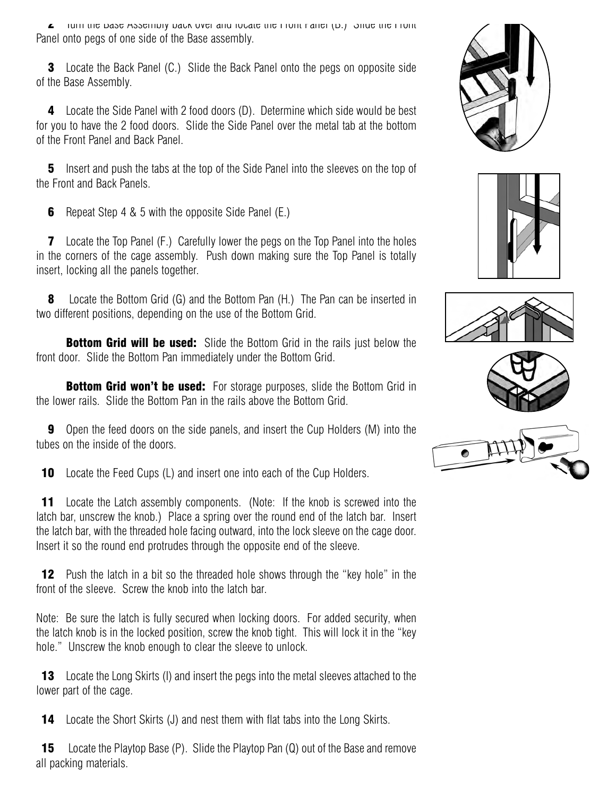$\blacktriangle$  Turn the Base Assembly back over and locate the Front Panel (B.) Since the Front Panel onto pegs of one side of the Base assembly.

**3** Locate the Back Panel (C.) Slide the Back Panel onto the pegs on opposite side of the Base Assembly.

4 Locate the Side Panel with 2 food doors (D). Determine which side would be best for you to have the 2 food doors. Slide the Side Panel over the metal tab at the bottom of the Front Panel and Back Panel.

**5** Insert and push the tabs at the top of the Side Panel into the sleeves on the top of the Front and Back Panels.

**6** Repeat Step 4 & 5 with the opposite Side Panel (E.)

7 Locate the Top Panel (F.) Carefully lower the pegs on the Top Panel into the holes in the corners of the cage assembly. Push down making sure the Top Panel is totally insert, locking all the panels together.

8 Locate the Bottom Grid (G) and the Bottom Pan (H.) The Pan can be inserted in two different positions, depending on the use of the Bottom Grid.

**Bottom Grid will be used:** Slide the Bottom Grid in the rails just below the front door. Slide the Bottom Pan immediately under the Bottom Grid.

**Bottom Grid won't be used:** For storage purposes, slide the Bottom Grid in the lower rails. Slide the Bottom Pan in the rails above the Bottom Grid.

**9** Open the feed doors on the side panels, and insert the Cup Holders (M) into the tubes on the inside of the doors.

**10** Locate the Feed Cups (L) and insert one into each of the Cup Holders.

**11** Locate the Latch assembly components. (Note: If the knob is screwed into the latch bar, unscrew the knob.) Place a spring over the round end of the latch bar. Insert the latch bar, with the threaded hole facing outward, into the lock sleeve on the cage door. Insert it so the round end protrudes through the opposite end of the sleeve.

**12** Push the latch in a bit so the threaded hole shows through the "key hole" in the front of the sleeve. Screw the knob into the latch bar.

Note: Be sure the latch is fully secured when locking doors. For added security, when the latch knob is in the locked position, screw the knob tight. This will lock it in the "key hole." Unscrew the knob enough to clear the sleeve to unlock.

**13** Locate the Long Skirts (I) and insert the pegs into the metal sleeves attached to the lower part of the cage.

**14** Locate the Short Skirts (J) and nest them with flat tabs into the Long Skirts.

**15** Locate the Playtop Base (P). Slide the Playtop Pan (Q) out of the Base and remove all packing materials.